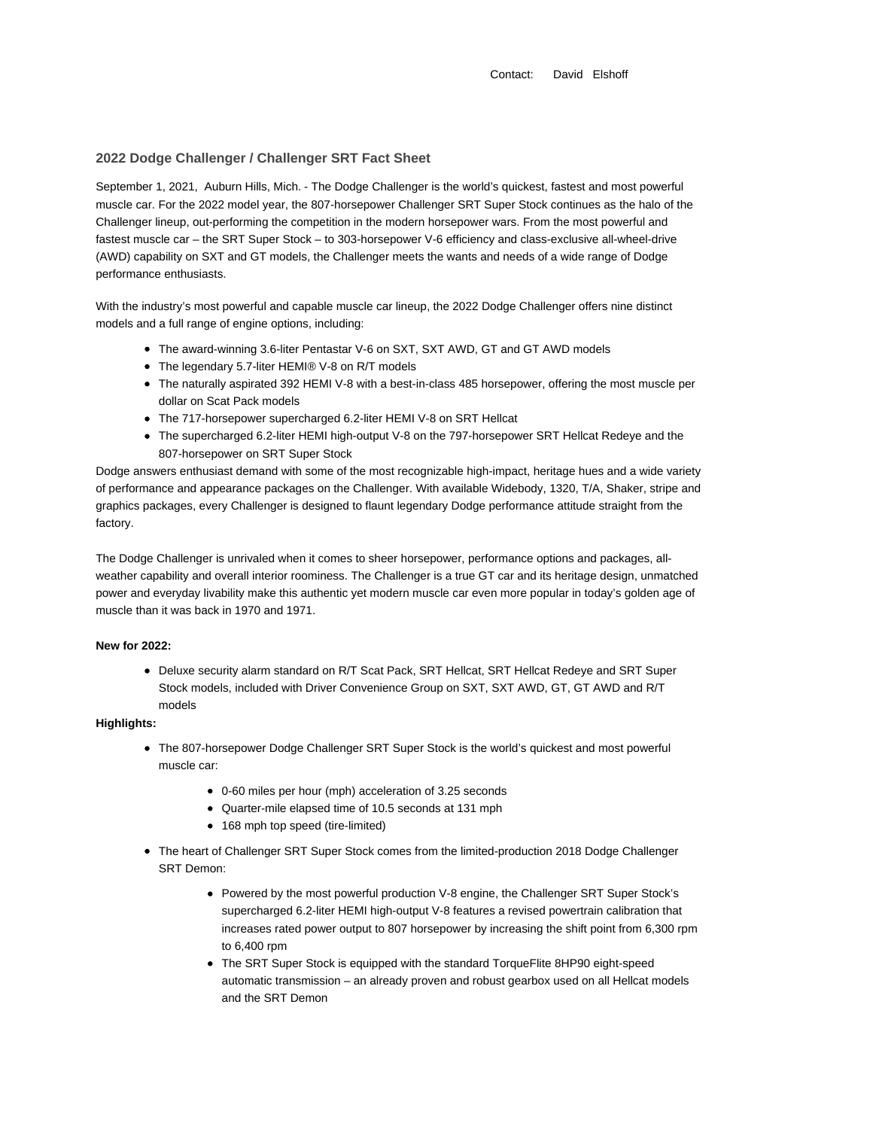Contact: David Elshoff

## **2022 Dodge Challenger / Challenger SRT Fact Sheet**

September 1, 2021, Auburn Hills, Mich. - The Dodge Challenger is the world's quickest, fastest and most powerful muscle car. For the 2022 model year, the 807-horsepower Challenger SRT Super Stock continues as the halo of the Challenger lineup, out-performing the competition in the modern horsepower wars. From the most powerful and fastest muscle car – the SRT Super Stock – to 303-horsepower V-6 efficiency and class-exclusive all-wheel-drive (AWD) capability on SXT and GT models, the Challenger meets the wants and needs of a wide range of Dodge performance enthusiasts.

With the industry's most powerful and capable muscle car lineup, the 2022 Dodge Challenger offers nine distinct models and a full range of engine options, including:

- The award-winning 3.6-liter Pentastar V-6 on SXT, SXT AWD, GT and GT AWD models
- The legendary 5.7-liter HEMI® V-8 on R/T models
- The naturally aspirated 392 HEMI V-8 with a best-in-class 485 horsepower, offering the most muscle per dollar on Scat Pack models
- The 717-horsepower supercharged 6.2-liter HEMI V-8 on SRT Hellcat
- The supercharged 6.2-liter HEMI high-output V-8 on the 797-horsepower SRT Hellcat Redeye and the 807-horsepower on SRT Super Stock

Dodge answers enthusiast demand with some of the most recognizable high-impact, heritage hues and a wide variety of performance and appearance packages on the Challenger. With available Widebody, 1320, T/A, Shaker, stripe and graphics packages, every Challenger is designed to flaunt legendary Dodge performance attitude straight from the factory.

The Dodge Challenger is unrivaled when it comes to sheer horsepower, performance options and packages, allweather capability and overall interior roominess. The Challenger is a true GT car and its heritage design, unmatched power and everyday livability make this authentic yet modern muscle car even more popular in today's golden age of muscle than it was back in 1970 and 1971.

### **New for 2022:**

Deluxe security alarm standard on R/T Scat Pack, SRT Hellcat, SRT Hellcat Redeye and SRT Super Stock models, included with Driver Convenience Group on SXT, SXT AWD, GT, GT AWD and R/T models

# **Highlights:**

- The 807-horsepower Dodge Challenger SRT Super Stock is the world's quickest and most powerful muscle car:
	- 0-60 miles per hour (mph) acceleration of 3.25 seconds
	- Quarter-mile elapsed time of 10.5 seconds at 131 mph
	- 168 mph top speed (tire-limited)
- The heart of Challenger SRT Super Stock comes from the limited-production 2018 Dodge Challenger SRT Demon:
	- Powered by the most powerful production V-8 engine, the Challenger SRT Super Stock's supercharged 6.2-liter HEMI high-output V-8 features a revised powertrain calibration that increases rated power output to 807 horsepower by increasing the shift point from 6,300 rpm to 6,400 rpm
	- The SRT Super Stock is equipped with the standard TorqueFlite 8HP90 eight-speed automatic transmission – an already proven and robust gearbox used on all Hellcat models and the SRT Demon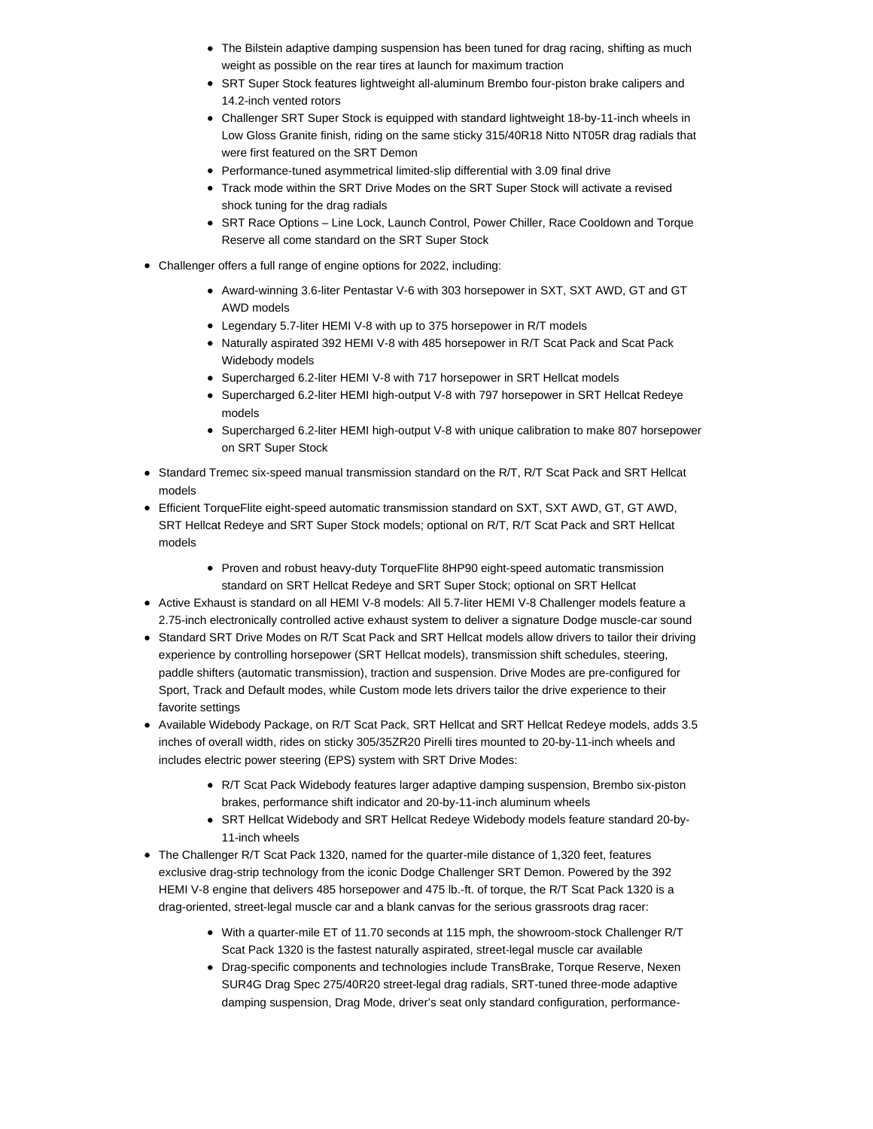- The Bilstein adaptive damping suspension has been tuned for drag racing, shifting as much weight as possible on the rear tires at launch for maximum traction
- SRT Super Stock features lightweight all-aluminum Brembo four-piston brake calipers and 14.2-inch vented rotors
- Challenger SRT Super Stock is equipped with standard lightweight 18-by-11-inch wheels in Low Gloss Granite finish, riding on the same sticky 315/40R18 Nitto NT05R drag radials that were first featured on the SRT Demon
- Performance-tuned asymmetrical limited-slip differential with 3.09 final drive
- Track mode within the SRT Drive Modes on the SRT Super Stock will activate a revised shock tuning for the drag radials
- SRT Race Options Line Lock, Launch Control, Power Chiller, Race Cooldown and Torque Reserve all come standard on the SRT Super Stock
- Challenger offers a full range of engine options for 2022, including:
	- Award-winning 3.6-liter Pentastar V-6 with 303 horsepower in SXT, SXT AWD, GT and GT AWD models
	- Legendary 5.7-liter HEMI V-8 with up to 375 horsepower in R/T models
	- Naturally aspirated 392 HEMI V-8 with 485 horsepower in R/T Scat Pack and Scat Pack Widebody models
	- Supercharged 6.2-liter HEMI V-8 with 717 horsepower in SRT Hellcat models
	- Supercharged 6.2-liter HEMI high-output V-8 with 797 horsepower in SRT Hellcat Redeye models
	- Supercharged 6.2-liter HEMI high-output V-8 with unique calibration to make 807 horsepower on SRT Super Stock
- Standard Tremec six-speed manual transmission standard on the R/T, R/T Scat Pack and SRT Hellcat models
- Efficient TorqueFlite eight-speed automatic transmission standard on SXT, SXT AWD, GT, GT AWD, SRT Hellcat Redeye and SRT Super Stock models; optional on R/T, R/T Scat Pack and SRT Hellcat models
	- Proven and robust heavy-duty TorqueFlite 8HP90 eight-speed automatic transmission standard on SRT Hellcat Redeye and SRT Super Stock; optional on SRT Hellcat
- Active Exhaust is standard on all HEMI V-8 models: All 5.7-liter HEMI V-8 Challenger models feature a 2.75-inch electronically controlled active exhaust system to deliver a signature Dodge muscle-car sound
- Standard SRT Drive Modes on R/T Scat Pack and SRT Hellcat models allow drivers to tailor their driving experience by controlling horsepower (SRT Hellcat models), transmission shift schedules, steering, paddle shifters (automatic transmission), traction and suspension. Drive Modes are pre-configured for Sport, Track and Default modes, while Custom mode lets drivers tailor the drive experience to their favorite settings
- Available Widebody Package, on R/T Scat Pack, SRT Hellcat and SRT Hellcat Redeye models, adds 3.5 inches of overall width, rides on sticky 305/35ZR20 Pirelli tires mounted to 20-by-11-inch wheels and includes electric power steering (EPS) system with SRT Drive Modes:
	- R/T Scat Pack Widebody features larger adaptive damping suspension, Brembo six-piston brakes, performance shift indicator and 20-by-11-inch aluminum wheels
	- SRT Hellcat Widebody and SRT Hellcat Redeye Widebody models feature standard 20-by-11-inch wheels
- The Challenger R/T Scat Pack 1320, named for the quarter-mile distance of 1,320 feet, features exclusive drag-strip technology from the iconic Dodge Challenger SRT Demon. Powered by the 392 HEMI V-8 engine that delivers 485 horsepower and 475 lb.-ft. of torque, the R/T Scat Pack 1320 is a drag-oriented, street-legal muscle car and a blank canvas for the serious grassroots drag racer:
	- With a quarter-mile ET of 11.70 seconds at 115 mph, the showroom-stock Challenger R/T Scat Pack 1320 is the fastest naturally aspirated, street-legal muscle car available
	- Drag-specific components and technologies include TransBrake, Torque Reserve, Nexen SUR4G Drag Spec 275/40R20 street-legal drag radials, SRT-tuned three-mode adaptive damping suspension, Drag Mode, driver's seat only standard configuration, performance-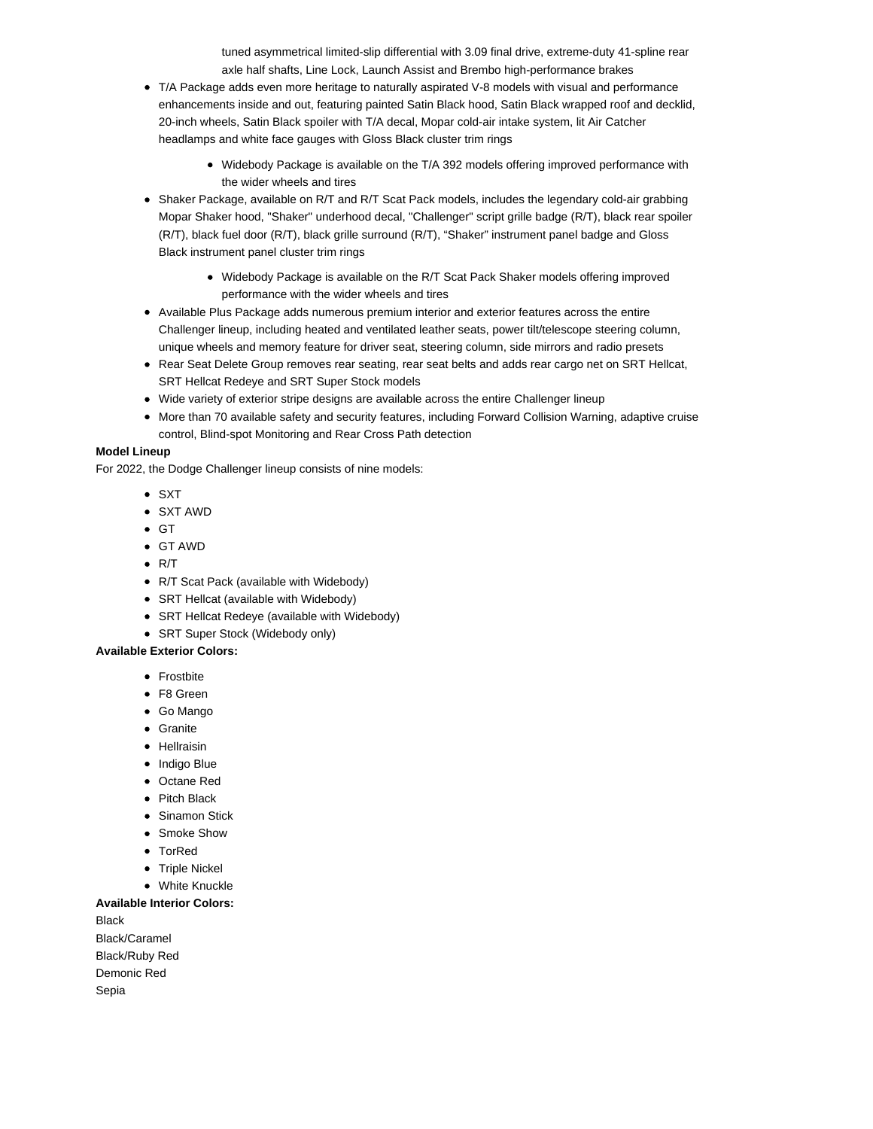tuned asymmetrical limited-slip differential with 3.09 final drive, extreme-duty 41-spline rear axle half shafts, Line Lock, Launch Assist and Brembo high-performance brakes

- T/A Package adds even more heritage to naturally aspirated V-8 models with visual and performance enhancements inside and out, featuring painted Satin Black hood, Satin Black wrapped roof and decklid, 20-inch wheels, Satin Black spoiler with T/A decal, Mopar cold-air intake system, lit Air Catcher headlamps and white face gauges with Gloss Black cluster trim rings
	- Widebody Package is available on the T/A 392 models offering improved performance with the wider wheels and tires
- Shaker Package, available on R/T and R/T Scat Pack models, includes the legendary cold-air grabbing Mopar Shaker hood, "Shaker" underhood decal, "Challenger" script grille badge (R/T), black rear spoiler (R/T), black fuel door (R/T), black grille surround (R/T), "Shaker" instrument panel badge and Gloss Black instrument panel cluster trim rings
	- Widebody Package is available on the R/T Scat Pack Shaker models offering improved performance with the wider wheels and tires
- Available Plus Package adds numerous premium interior and exterior features across the entire Challenger lineup, including heated and ventilated leather seats, power tilt/telescope steering column, unique wheels and memory feature for driver seat, steering column, side mirrors and radio presets
- Rear Seat Delete Group removes rear seating, rear seat belts and adds rear cargo net on SRT Hellcat, SRT Hellcat Redeye and SRT Super Stock models
- Wide variety of exterior stripe designs are available across the entire Challenger lineup
- More than 70 available safety and security features, including Forward Collision Warning, adaptive cruise control, Blind-spot Monitoring and Rear Cross Path detection

### **Model Lineup**

For 2022, the Dodge Challenger lineup consists of nine models:

- $\bullet$  SXT
- SXT AWD
- $\bullet$  GT
- GT AWD
- $\bullet$  R/T
- R/T Scat Pack (available with Widebody)
- SRT Hellcat (available with Widebody)
- SRT Hellcat Redeye (available with Widebody)
- SRT Super Stock (Widebody only)

### **Available Exterior Colors:**

- Frostbite
- F8 Green
- Go Mango
- Granite
- Hellraisin
- Indigo Blue
- Octane Red
- Pitch Black
- Sinamon Stick
- Smoke Show
- TorRed
- Triple Nickel
- White Knuckle

#### **Available Interior Colors:**

**Black** Black/Caramel Black/Ruby Red Demonic Red Sepia